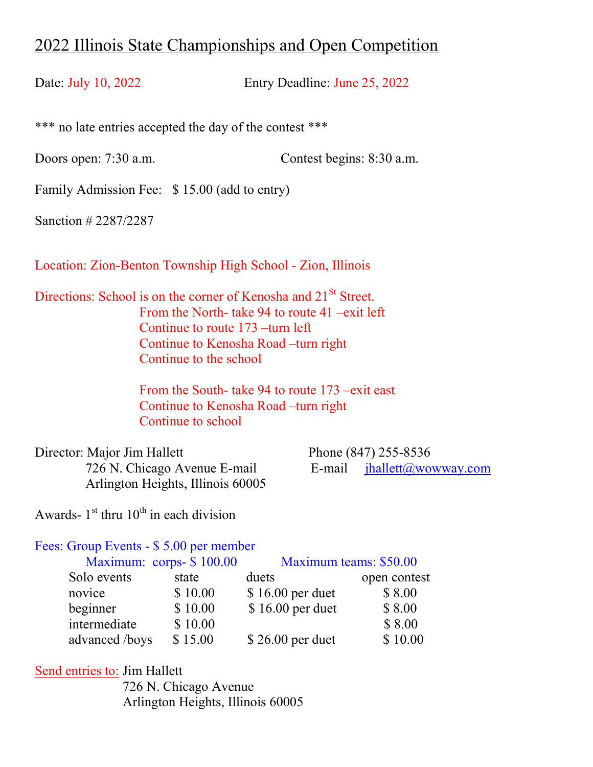# 2022 Illinois State Championships and Open Competition

Date: July 10, 2022 Entry Deadline: June 25, 2022

\*\*\* no late entries accepted the day of the contest \*\*\*

Doors open: 7:30 a.m. Contest begins: 8:30 a.m.

Family Admission Fee: \$ 15.00 (add to entry)

Sanction # 2287/2287

Location: Zion-Benton Township High School - Zion, Illinois

Directions: School is on the corner of Kenosha and 21<sup>St</sup> Street. From the North- take 94 to route 41 –exit left Continue to route 173 –turn left Continue to Kenosha Road –turn right Continue to the school

> From the South- take 94 to route 173 –exit east Continue to Kenosha Road –turn right Continue to school

Director: Major Jim Hallett Phone (847) 255-8536 Arlington Heights, Illinois 60005

726 N. Chicago Avenue E-mail  $E$ -mail  $i$ hallett $(a)$ wowway.com

Awards-  $1<sup>st</sup>$  thru  $10<sup>th</sup>$  in each division

#### Fees: Group Events - \$ 5.00 per member

Maximum: corps- \$ 100.00 Maximum teams: \$50.00

| $\frac{1}{2}$ |                                                   |                   |              |  |
|---------------|---------------------------------------------------|-------------------|--------------|--|
|               | state                                             | duets             | open contest |  |
|               | \$10.00                                           | $$16.00$ per duet | \$8.00       |  |
|               | \$10.00                                           | $$16.00$ per duet | \$8.00       |  |
|               | \$10.00                                           |                   | \$8.00       |  |
|               | \$15.00                                           | $$26.00$ per duet | \$10.00      |  |
|               | Solo events<br>novice<br>beginner<br>intermediate | advanced/boys     |              |  |

Send entries to: Jim Hallett 726 N. Chicago Avenue Arlington Heights, Illinois 60005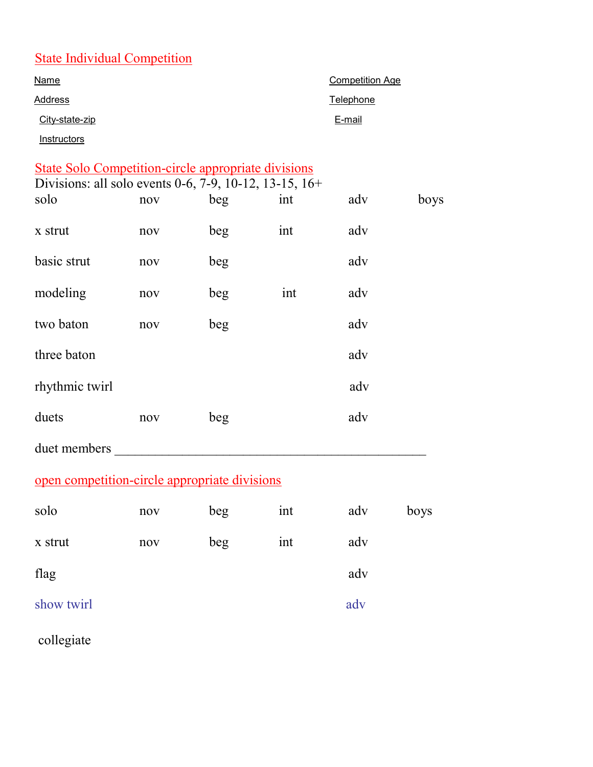### State Individual Competition

| <b>Name</b>                      | <b>Competition Age</b> |
|----------------------------------|------------------------|
| Address                          | Telephone              |
| City-state-zip                   | E-mail                 |
| <i><u><b>Instructors</b></u></i> |                        |

| State Solo Competition-circle appropriate divisions |  |  |
|-----------------------------------------------------|--|--|

| Divisions: all solo events 0-6, 7-9, 10-12, 13-15, 16+ |     |     |     |     |      |  |
|--------------------------------------------------------|-----|-----|-----|-----|------|--|
| solo                                                   | nov | beg | int | adv | boys |  |
| x strut                                                | nov | beg | int | adv |      |  |
| basic strut                                            | nov | beg |     | adv |      |  |
| modeling                                               | nov | beg | int | adv |      |  |
| two baton                                              | nov | beg |     | adv |      |  |
| three baton                                            |     |     |     | adv |      |  |
| rhythmic twirl                                         |     |     |     | adv |      |  |
| duets                                                  | nov | beg |     | adv |      |  |
| duet members                                           |     |     |     |     |      |  |

# open competition-circle appropriate divisions

| solo       | nov | beg | int | adv | boys |
|------------|-----|-----|-----|-----|------|
| x strut    | nov | beg | int | adv |      |
| flag       |     |     |     | adv |      |
| show twirl |     |     |     | adv |      |

collegiate